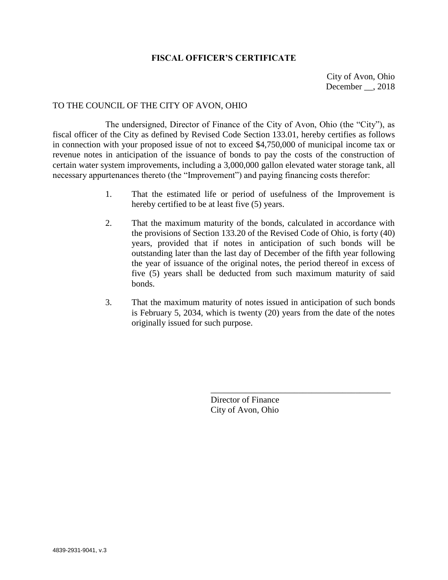## **FISCAL OFFICER'S CERTIFICATE**

City of Avon, Ohio December , 2018

## TO THE COUNCIL OF THE CITY OF AVON, OHIO

The undersigned, Director of Finance of the City of Avon, Ohio (the "City"), as fiscal officer of the City as defined by Revised Code Section 133.01, hereby certifies as follows in connection with your proposed issue of not to exceed \$4,750,000 of municipal income tax or revenue notes in anticipation of the issuance of bonds to pay the costs of the construction of certain water system improvements, including a 3,000,000 gallon elevated water storage tank, all necessary appurtenances thereto (the "Improvement") and paying financing costs therefor:

- 1. That the estimated life or period of usefulness of the Improvement is hereby certified to be at least five (5) years.
- 2. That the maximum maturity of the bonds, calculated in accordance with the provisions of Section 133.20 of the Revised Code of Ohio, is forty (40) years, provided that if notes in anticipation of such bonds will be outstanding later than the last day of December of the fifth year following the year of issuance of the original notes, the period thereof in excess of five (5) years shall be deducted from such maximum maturity of said bonds.
- 3. That the maximum maturity of notes issued in anticipation of such bonds is February 5, 2034, which is twenty (20) years from the date of the notes originally issued for such purpose.

Director of Finance City of Avon, Ohio

\_\_\_\_\_\_\_\_\_\_\_\_\_\_\_\_\_\_\_\_\_\_\_\_\_\_\_\_\_\_\_\_\_\_\_\_\_\_\_\_\_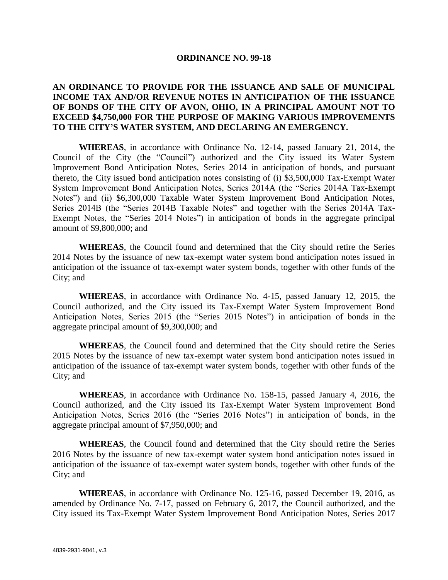## **ORDINANCE NO. 99-18**

## **AN ORDINANCE TO PROVIDE FOR THE ISSUANCE AND SALE OF MUNICIPAL INCOME TAX AND/OR REVENUE NOTES IN ANTICIPATION OF THE ISSUANCE OF BONDS OF THE CITY OF AVON, OHIO, IN A PRINCIPAL AMOUNT NOT TO EXCEED \$4,750,000 FOR THE PURPOSE OF MAKING VARIOUS IMPROVEMENTS TO THE CITY'S WATER SYSTEM, AND DECLARING AN EMERGENCY.**

**WHEREAS**, in accordance with Ordinance No. 12-14, passed January 21, 2014, the Council of the City (the "Council") authorized and the City issued its Water System Improvement Bond Anticipation Notes, Series 2014 in anticipation of bonds, and pursuant thereto, the City issued bond anticipation notes consisting of (i) \$3,500,000 Tax-Exempt Water System Improvement Bond Anticipation Notes, Series 2014A (the "Series 2014A Tax-Exempt Notes") and (ii) \$6,300,000 Taxable Water System Improvement Bond Anticipation Notes, Series 2014B (the "Series 2014B Taxable Notes" and together with the Series 2014A Tax-Exempt Notes, the "Series 2014 Notes") in anticipation of bonds in the aggregate principal amount of \$9,800,000; and

**WHEREAS**, the Council found and determined that the City should retire the Series 2014 Notes by the issuance of new tax-exempt water system bond anticipation notes issued in anticipation of the issuance of tax-exempt water system bonds, together with other funds of the City; and

**WHEREAS**, in accordance with Ordinance No. 4-15, passed January 12, 2015, the Council authorized, and the City issued its Tax-Exempt Water System Improvement Bond Anticipation Notes, Series 2015 (the "Series 2015 Notes") in anticipation of bonds in the aggregate principal amount of \$9,300,000; and

**WHEREAS**, the Council found and determined that the City should retire the Series 2015 Notes by the issuance of new tax-exempt water system bond anticipation notes issued in anticipation of the issuance of tax-exempt water system bonds, together with other funds of the City; and

**WHEREAS**, in accordance with Ordinance No. 158-15, passed January 4, 2016, the Council authorized, and the City issued its Tax-Exempt Water System Improvement Bond Anticipation Notes, Series 2016 (the "Series 2016 Notes") in anticipation of bonds, in the aggregate principal amount of \$7,950,000; and

**WHEREAS**, the Council found and determined that the City should retire the Series 2016 Notes by the issuance of new tax-exempt water system bond anticipation notes issued in anticipation of the issuance of tax-exempt water system bonds, together with other funds of the City; and

**WHEREAS**, in accordance with Ordinance No. 125-16, passed December 19, 2016, as amended by Ordinance No. 7-17, passed on February 6, 2017, the Council authorized, and the City issued its Tax-Exempt Water System Improvement Bond Anticipation Notes, Series 2017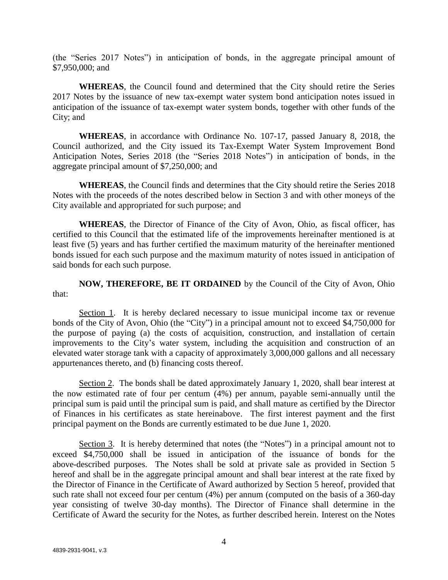(the "Series 2017 Notes") in anticipation of bonds, in the aggregate principal amount of \$7,950,000; and

**WHEREAS**, the Council found and determined that the City should retire the Series 2017 Notes by the issuance of new tax-exempt water system bond anticipation notes issued in anticipation of the issuance of tax-exempt water system bonds, together with other funds of the City; and

**WHEREAS**, in accordance with Ordinance No. 107-17, passed January 8, 2018, the Council authorized, and the City issued its Tax-Exempt Water System Improvement Bond Anticipation Notes, Series 2018 (the "Series 2018 Notes") in anticipation of bonds, in the aggregate principal amount of \$7,250,000; and

**WHEREAS**, the Council finds and determines that the City should retire the Series 2018 Notes with the proceeds of the notes described below in Section 3 and with other moneys of the City available and appropriated for such purpose; and

**WHEREAS**, the Director of Finance of the City of Avon, Ohio, as fiscal officer, has certified to this Council that the estimated life of the improvements hereinafter mentioned is at least five (5) years and has further certified the maximum maturity of the hereinafter mentioned bonds issued for each such purpose and the maximum maturity of notes issued in anticipation of said bonds for each such purpose.

**NOW, THEREFORE, BE IT ORDAINED** by the Council of the City of Avon, Ohio that:

Section 1. It is hereby declared necessary to issue municipal income tax or revenue bonds of the City of Avon, Ohio (the "City") in a principal amount not to exceed \$4,750,000 for the purpose of paying (a) the costs of acquisition, construction, and installation of certain improvements to the City's water system, including the acquisition and construction of an elevated water storage tank with a capacity of approximately 3,000,000 gallons and all necessary appurtenances thereto, and (b) financing costs thereof.

Section 2. The bonds shall be dated approximately January 1, 2020, shall bear interest at the now estimated rate of four per centum (4%) per annum, payable semi-annually until the principal sum is paid until the principal sum is paid, and shall mature as certified by the Director of Finances in his certificates as state hereinabove. The first interest payment and the first principal payment on the Bonds are currently estimated to be due June 1, 2020.

Section 3. It is hereby determined that notes (the "Notes") in a principal amount not to exceed \$4,750,000 shall be issued in anticipation of the issuance of bonds for the above-described purposes. The Notes shall be sold at private sale as provided in Section 5 hereof and shall be in the aggregate principal amount and shall bear interest at the rate fixed by the Director of Finance in the Certificate of Award authorized by Section 5 hereof, provided that such rate shall not exceed four per centum (4%) per annum (computed on the basis of a 360-day year consisting of twelve 30-day months). The Director of Finance shall determine in the Certificate of Award the security for the Notes, as further described herein. Interest on the Notes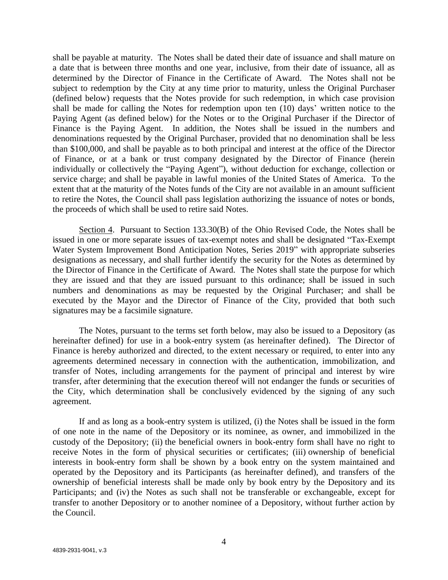shall be payable at maturity. The Notes shall be dated their date of issuance and shall mature on a date that is between three months and one year, inclusive, from their date of issuance, all as determined by the Director of Finance in the Certificate of Award. The Notes shall not be subject to redemption by the City at any time prior to maturity, unless the Original Purchaser (defined below) requests that the Notes provide for such redemption, in which case provision shall be made for calling the Notes for redemption upon ten (10) days' written notice to the Paying Agent (as defined below) for the Notes or to the Original Purchaser if the Director of Finance is the Paying Agent. In addition, the Notes shall be issued in the numbers and denominations requested by the Original Purchaser, provided that no denomination shall be less than \$100,000, and shall be payable as to both principal and interest at the office of the Director of Finance, or at a bank or trust company designated by the Director of Finance (herein individually or collectively the "Paying Agent"), without deduction for exchange, collection or service charge; and shall be payable in lawful monies of the United States of America. To the extent that at the maturity of the Notes funds of the City are not available in an amount sufficient to retire the Notes, the Council shall pass legislation authorizing the issuance of notes or bonds, the proceeds of which shall be used to retire said Notes.

Section 4. Pursuant to Section 133.30(B) of the Ohio Revised Code, the Notes shall be issued in one or more separate issues of tax-exempt notes and shall be designated "Tax-Exempt Water System Improvement Bond Anticipation Notes, Series 2019" with appropriate subseries designations as necessary, and shall further identify the security for the Notes as determined by the Director of Finance in the Certificate of Award. The Notes shall state the purpose for which they are issued and that they are issued pursuant to this ordinance; shall be issued in such numbers and denominations as may be requested by the Original Purchaser; and shall be executed by the Mayor and the Director of Finance of the City, provided that both such signatures may be a facsimile signature.

The Notes, pursuant to the terms set forth below, may also be issued to a Depository (as hereinafter defined) for use in a book-entry system (as hereinafter defined). The Director of Finance is hereby authorized and directed, to the extent necessary or required, to enter into any agreements determined necessary in connection with the authentication, immobilization, and transfer of Notes, including arrangements for the payment of principal and interest by wire transfer, after determining that the execution thereof will not endanger the funds or securities of the City, which determination shall be conclusively evidenced by the signing of any such agreement.

If and as long as a book-entry system is utilized, (i) the Notes shall be issued in the form of one note in the name of the Depository or its nominee, as owner, and immobilized in the custody of the Depository; (ii) the beneficial owners in book-entry form shall have no right to receive Notes in the form of physical securities or certificates; (iii) ownership of beneficial interests in book-entry form shall be shown by a book entry on the system maintained and operated by the Depository and its Participants (as hereinafter defined), and transfers of the ownership of beneficial interests shall be made only by book entry by the Depository and its Participants; and (iv) the Notes as such shall not be transferable or exchangeable, except for transfer to another Depository or to another nominee of a Depository, without further action by the Council.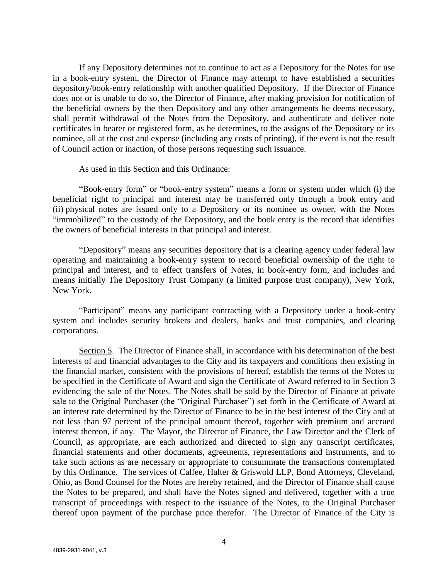If any Depository determines not to continue to act as a Depository for the Notes for use in a book-entry system, the Director of Finance may attempt to have established a securities depository/book-entry relationship with another qualified Depository. If the Director of Finance does not or is unable to do so, the Director of Finance, after making provision for notification of the beneficial owners by the then Depository and any other arrangements he deems necessary, shall permit withdrawal of the Notes from the Depository, and authenticate and deliver note certificates in bearer or registered form, as he determines, to the assigns of the Depository or its nominee, all at the cost and expense (including any costs of printing), if the event is not the result of Council action or inaction, of those persons requesting such issuance.

As used in this Section and this Ordinance:

"Book-entry form" or "book-entry system" means a form or system under which (i) the beneficial right to principal and interest may be transferred only through a book entry and (ii) physical notes are issued only to a Depository or its nominee as owner, with the Notes "immobilized" to the custody of the Depository, and the book entry is the record that identifies the owners of beneficial interests in that principal and interest.

"Depository" means any securities depository that is a clearing agency under federal law operating and maintaining a book-entry system to record beneficial ownership of the right to principal and interest, and to effect transfers of Notes, in book-entry form, and includes and means initially The Depository Trust Company (a limited purpose trust company), New York, New York.

"Participant" means any participant contracting with a Depository under a book-entry system and includes security brokers and dealers, banks and trust companies, and clearing corporations.

Section 5. The Director of Finance shall, in accordance with his determination of the best interests of and financial advantages to the City and its taxpayers and conditions then existing in the financial market, consistent with the provisions of hereof, establish the terms of the Notes to be specified in the Certificate of Award and sign the Certificate of Award referred to in Section 3 evidencing the sale of the Notes. The Notes shall be sold by the Director of Finance at private sale to the Original Purchaser (the "Original Purchaser") set forth in the Certificate of Award at an interest rate determined by the Director of Finance to be in the best interest of the City and at not less than 97 percent of the principal amount thereof, together with premium and accrued interest thereon, if any. The Mayor, the Director of Finance, the Law Director and the Clerk of Council, as appropriate, are each authorized and directed to sign any transcript certificates, financial statements and other documents, agreements, representations and instruments, and to take such actions as are necessary or appropriate to consummate the transactions contemplated by this Ordinance. The services of Calfee, Halter & Griswold LLP, Bond Attorneys, Cleveland, Ohio, as Bond Counsel for the Notes are hereby retained, and the Director of Finance shall cause the Notes to be prepared, and shall have the Notes signed and delivered, together with a true transcript of proceedings with respect to the issuance of the Notes, to the Original Purchaser thereof upon payment of the purchase price therefor. The Director of Finance of the City is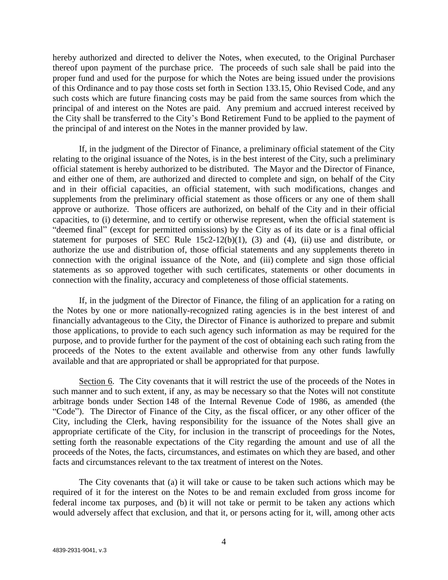hereby authorized and directed to deliver the Notes, when executed, to the Original Purchaser thereof upon payment of the purchase price. The proceeds of such sale shall be paid into the proper fund and used for the purpose for which the Notes are being issued under the provisions of this Ordinance and to pay those costs set forth in Section 133.15, Ohio Revised Code, and any such costs which are future financing costs may be paid from the same sources from which the principal of and interest on the Notes are paid. Any premium and accrued interest received by the City shall be transferred to the City's Bond Retirement Fund to be applied to the payment of the principal of and interest on the Notes in the manner provided by law.

If, in the judgment of the Director of Finance, a preliminary official statement of the City relating to the original issuance of the Notes, is in the best interest of the City, such a preliminary official statement is hereby authorized to be distributed. The Mayor and the Director of Finance, and either one of them, are authorized and directed to complete and sign, on behalf of the City and in their official capacities, an official statement, with such modifications, changes and supplements from the preliminary official statement as those officers or any one of them shall approve or authorize. Those officers are authorized, on behalf of the City and in their official capacities, to (i) determine, and to certify or otherwise represent, when the official statement is "deemed final" (except for permitted omissions) by the City as of its date or is a final official statement for purposes of SEC Rule  $15c2-12(b)(1)$ , (3) and (4), (ii) use and distribute, or authorize the use and distribution of, those official statements and any supplements thereto in connection with the original issuance of the Note, and (iii) complete and sign those official statements as so approved together with such certificates, statements or other documents in connection with the finality, accuracy and completeness of those official statements.

If, in the judgment of the Director of Finance, the filing of an application for a rating on the Notes by one or more nationally-recognized rating agencies is in the best interest of and financially advantageous to the City, the Director of Finance is authorized to prepare and submit those applications, to provide to each such agency such information as may be required for the purpose, and to provide further for the payment of the cost of obtaining each such rating from the proceeds of the Notes to the extent available and otherwise from any other funds lawfully available and that are appropriated or shall be appropriated for that purpose.

Section 6. The City covenants that it will restrict the use of the proceeds of the Notes in such manner and to such extent, if any, as may be necessary so that the Notes will not constitute arbitrage bonds under Section 148 of the Internal Revenue Code of 1986, as amended (the "Code"). The Director of Finance of the City, as the fiscal officer, or any other officer of the City, including the Clerk, having responsibility for the issuance of the Notes shall give an appropriate certificate of the City, for inclusion in the transcript of proceedings for the Notes, setting forth the reasonable expectations of the City regarding the amount and use of all the proceeds of the Notes, the facts, circumstances, and estimates on which they are based, and other facts and circumstances relevant to the tax treatment of interest on the Notes.

The City covenants that (a) it will take or cause to be taken such actions which may be required of it for the interest on the Notes to be and remain excluded from gross income for federal income tax purposes, and (b) it will not take or permit to be taken any actions which would adversely affect that exclusion, and that it, or persons acting for it, will, among other acts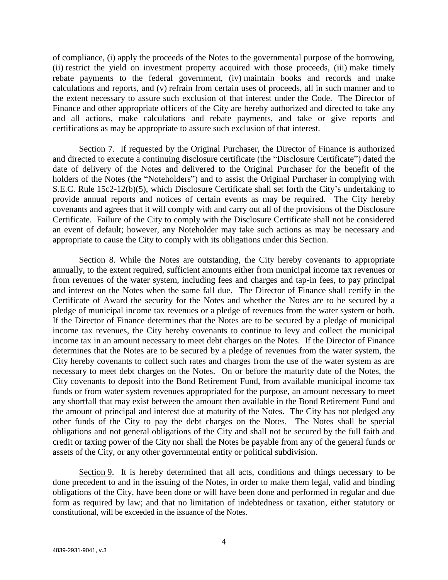of compliance, (i) apply the proceeds of the Notes to the governmental purpose of the borrowing, (ii) restrict the yield on investment property acquired with those proceeds, (iii) make timely rebate payments to the federal government, (iv) maintain books and records and make calculations and reports, and (v) refrain from certain uses of proceeds, all in such manner and to the extent necessary to assure such exclusion of that interest under the Code. The Director of Finance and other appropriate officers of the City are hereby authorized and directed to take any and all actions, make calculations and rebate payments, and take or give reports and certifications as may be appropriate to assure such exclusion of that interest.

Section 7. If requested by the Original Purchaser, the Director of Finance is authorized and directed to execute a continuing disclosure certificate (the "Disclosure Certificate") dated the date of delivery of the Notes and delivered to the Original Purchaser for the benefit of the holders of the Notes (the "Noteholders") and to assist the Original Purchaser in complying with S.E.C. Rule 15c2-12(b)(5), which Disclosure Certificate shall set forth the City's undertaking to provide annual reports and notices of certain events as may be required. The City hereby covenants and agrees that it will comply with and carry out all of the provisions of the Disclosure Certificate. Failure of the City to comply with the Disclosure Certificate shall not be considered an event of default; however, any Noteholder may take such actions as may be necessary and appropriate to cause the City to comply with its obligations under this Section.

Section 8. While the Notes are outstanding, the City hereby covenants to appropriate annually, to the extent required, sufficient amounts either from municipal income tax revenues or from revenues of the water system, including fees and charges and tap-in fees, to pay principal and interest on the Notes when the same fall due. The Director of Finance shall certify in the Certificate of Award the security for the Notes and whether the Notes are to be secured by a pledge of municipal income tax revenues or a pledge of revenues from the water system or both. If the Director of Finance determines that the Notes are to be secured by a pledge of municipal income tax revenues, the City hereby covenants to continue to levy and collect the municipal income tax in an amount necessary to meet debt charges on the Notes. If the Director of Finance determines that the Notes are to be secured by a pledge of revenues from the water system, the City hereby covenants to collect such rates and charges from the use of the water system as are necessary to meet debt charges on the Notes. On or before the maturity date of the Notes, the City covenants to deposit into the Bond Retirement Fund, from available municipal income tax funds or from water system revenues appropriated for the purpose, an amount necessary to meet any shortfall that may exist between the amount then available in the Bond Retirement Fund and the amount of principal and interest due at maturity of the Notes. The City has not pledged any other funds of the City to pay the debt charges on the Notes. The Notes shall be special obligations and not general obligations of the City and shall not be secured by the full faith and credit or taxing power of the City nor shall the Notes be payable from any of the general funds or assets of the City, or any other governmental entity or political subdivision.

Section 9. It is hereby determined that all acts, conditions and things necessary to be done precedent to and in the issuing of the Notes, in order to make them legal, valid and binding obligations of the City, have been done or will have been done and performed in regular and due form as required by law; and that no limitation of indebtedness or taxation, either statutory or constitutional, will be exceeded in the issuance of the Notes.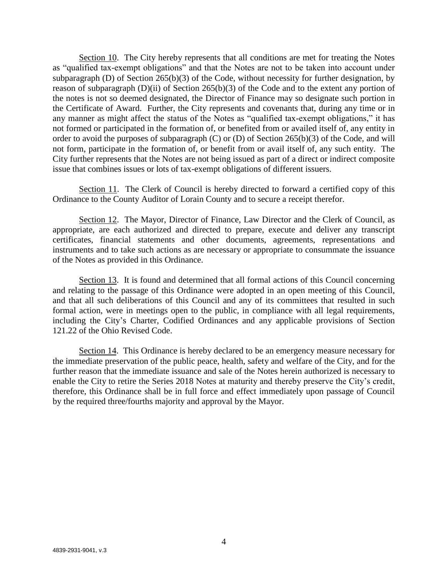Section 10. The City hereby represents that all conditions are met for treating the Notes as "qualified tax-exempt obligations" and that the Notes are not to be taken into account under subparagraph (D) of Section 265(b)(3) of the Code, without necessity for further designation, by reason of subparagraph (D)(ii) of Section 265(b)(3) of the Code and to the extent any portion of the notes is not so deemed designated, the Director of Finance may so designate such portion in the Certificate of Award. Further, the City represents and covenants that, during any time or in any manner as might affect the status of the Notes as "qualified tax-exempt obligations," it has not formed or participated in the formation of, or benefited from or availed itself of, any entity in order to avoid the purposes of subparagraph (C) or (D) of Section 265(b)(3) of the Code, and will not form, participate in the formation of, or benefit from or avail itself of, any such entity. The City further represents that the Notes are not being issued as part of a direct or indirect composite issue that combines issues or lots of tax-exempt obligations of different issuers.

Section 11. The Clerk of Council is hereby directed to forward a certified copy of this Ordinance to the County Auditor of Lorain County and to secure a receipt therefor.

Section 12. The Mayor, Director of Finance, Law Director and the Clerk of Council, as appropriate, are each authorized and directed to prepare, execute and deliver any transcript certificates, financial statements and other documents, agreements, representations and instruments and to take such actions as are necessary or appropriate to consummate the issuance of the Notes as provided in this Ordinance.

Section 13. It is found and determined that all formal actions of this Council concerning and relating to the passage of this Ordinance were adopted in an open meeting of this Council, and that all such deliberations of this Council and any of its committees that resulted in such formal action, were in meetings open to the public, in compliance with all legal requirements, including the City's Charter, Codified Ordinances and any applicable provisions of Section 121.22 of the Ohio Revised Code.

Section 14. This Ordinance is hereby declared to be an emergency measure necessary for the immediate preservation of the public peace, health, safety and welfare of the City, and for the further reason that the immediate issuance and sale of the Notes herein authorized is necessary to enable the City to retire the Series 2018 Notes at maturity and thereby preserve the City's credit, therefore, this Ordinance shall be in full force and effect immediately upon passage of Council by the required three/fourths majority and approval by the Mayor.